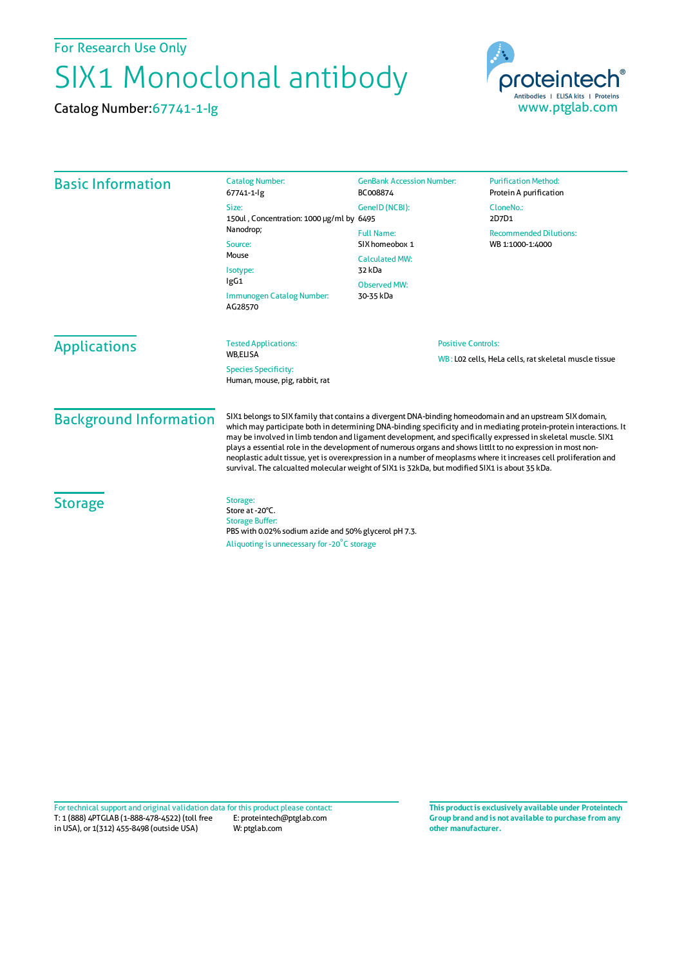For Research Use Only

## SIX1 Monoclonal antibody

Catalog Number:67741-1-Ig



| <b>Basic Information</b>                                                         | <b>Catalog Number:</b><br>67741-1-lg                                                                                                                                                                                                                                                                                                                                                                                                                                                                                                                                                                                                                                                  | <b>GenBank Accession Number:</b><br>BC008874                                                               | <b>Purification Method:</b><br>Protein A purification |
|----------------------------------------------------------------------------------|---------------------------------------------------------------------------------------------------------------------------------------------------------------------------------------------------------------------------------------------------------------------------------------------------------------------------------------------------------------------------------------------------------------------------------------------------------------------------------------------------------------------------------------------------------------------------------------------------------------------------------------------------------------------------------------|------------------------------------------------------------------------------------------------------------|-------------------------------------------------------|
|                                                                                  | Size:<br>150ul, Concentration: 1000 µg/ml by 6495<br>Nanodrop;                                                                                                                                                                                                                                                                                                                                                                                                                                                                                                                                                                                                                        | GeneID (NCBI):                                                                                             | CloneNo.:<br>2D7D1                                    |
|                                                                                  |                                                                                                                                                                                                                                                                                                                                                                                                                                                                                                                                                                                                                                                                                       | <b>Full Name:</b><br>SIX homeobox 1<br><b>Calculated MW:</b><br>32 kDa<br><b>Observed MW:</b><br>30-35 kDa | <b>Recommended Dilutions:</b><br>WB 1:1000-1:4000     |
|                                                                                  | Source:<br>Mouse                                                                                                                                                                                                                                                                                                                                                                                                                                                                                                                                                                                                                                                                      |                                                                                                            |                                                       |
|                                                                                  | Isotype:<br>lgG1<br>Immunogen Catalog Number:<br>AG28570                                                                                                                                                                                                                                                                                                                                                                                                                                                                                                                                                                                                                              |                                                                                                            |                                                       |
|                                                                                  |                                                                                                                                                                                                                                                                                                                                                                                                                                                                                                                                                                                                                                                                                       |                                                                                                            |                                                       |
| <b>WB.ELISA</b><br><b>Species Specificity:</b><br>Human, mouse, pig, rabbit, rat |                                                                                                                                                                                                                                                                                                                                                                                                                                                                                                                                                                                                                                                                                       | WB: LO2 cells, HeLa cells, rat skeletal muscle tissue                                                      |                                                       |
| <b>Background Information</b>                                                    | SIX1 belongs to SIX family that contains a divergent DNA-binding homeodomain and an upstream SIX domain,<br>which may participate both in determining DNA-binding specificity and in mediating protein-protein interactions. It<br>may be involved in limb tendon and ligament development, and specifically expressed in skeletal muscle. SIX1<br>plays a essential role in the development of numerous organs and shows littlt to no expression in most non-<br>neoplastic adult tissue, yet is overexpression in a number of meoplasms where it increases cell proliferation and<br>survival. The calcualted molecular weight of SIX1 is 32kDa, but modified SIX1 is about 35 kDa. |                                                                                                            |                                                       |
| <b>Storage</b>                                                                   | Storage:<br>Store at -20°C.<br><b>Storage Buffer:</b><br>PBS with 0.02% sodium azide and 50% glycerol pH 7.3.<br>Aliquoting is unnecessary for -20 <sup>°</sup> C storage                                                                                                                                                                                                                                                                                                                                                                                                                                                                                                             |                                                                                                            |                                                       |

T: 1 (888) 4PTGLAB (1-888-478-4522) (toll free E: proteintech@ptglab.com in USA), or 1(312) 455-8498 (outside USA) W: ptglab.com Fortechnical support and original validation data forthis product please contact: **This productis exclusively available under Proteintech**

**Group brand and is not available to purchase from any other manufacturer.**